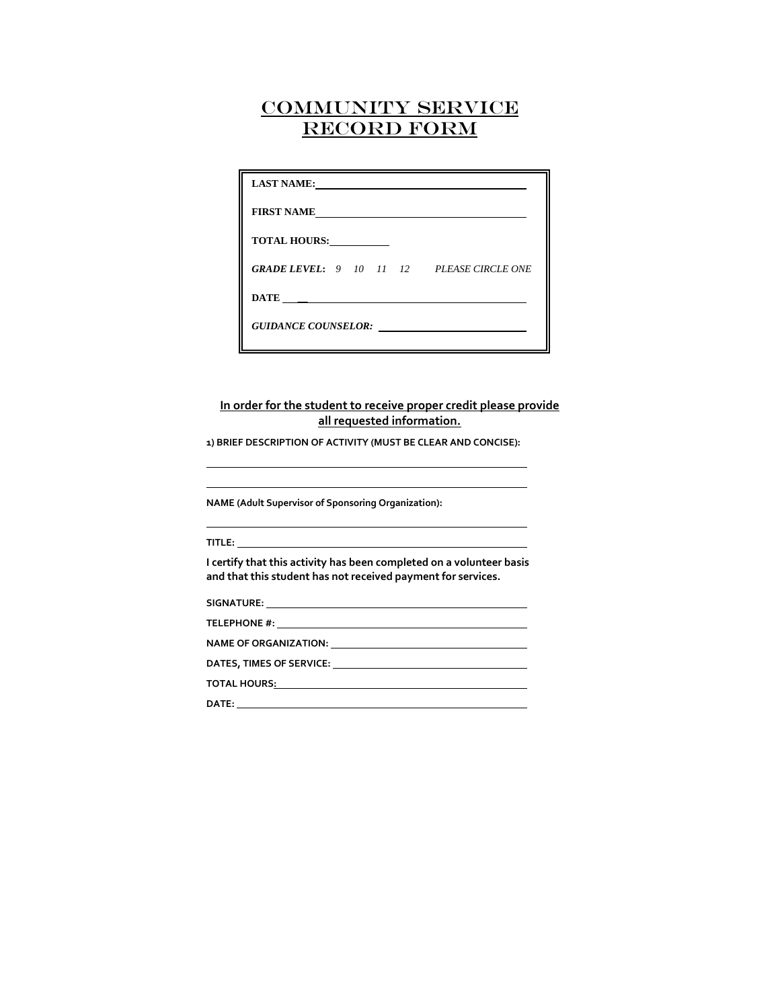| <b>LAST NAME:</b>                                | the contract of the contract of the contract of the contract of |
|--------------------------------------------------|-----------------------------------------------------------------|
| <b>FIRST NAME</b>                                |                                                                 |
| <b>TOTAL HOURS:</b>                              |                                                                 |
| <b>GRADE LEVEL:</b> 9 10 11 12 PLEASE CIRCLE ONE |                                                                 |
|                                                  |                                                                 |
| GUIDANCE COUNSELOR:                              |                                                                 |

### **In order for the student to receive proper credit please provide all requested information.**

<u> 1980 - Johann Barbara, martin amerikan basar dan basa dan basar dalam basa dalam basa dalam basa dalam basa</u>

**1) BRIEF DESCRIPTION OF ACTIVITY (MUST BE CLEAR AND CONCISE):** 

**NAME (Adult Supervisor of Sponsoring Organization):** 

### **TITLE:**

**I certify that this activity has been completed on a volunteer basis and that this student has not received payment for services.**

**SIGNATURE:** 

**TELEPHONE #:** 

**NAME OF ORGANIZATION:** 

**DATES, TIMES OF SERVICE:** 

**TOTAL HOURS:**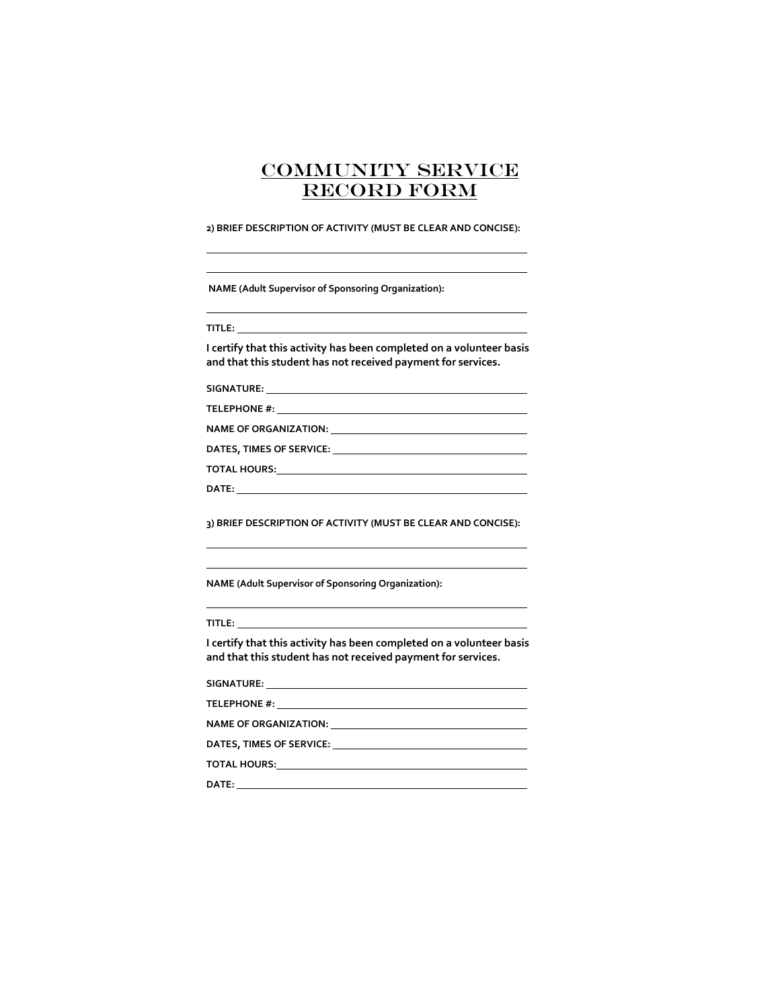#### **2) BRIEF DESCRIPTION OF ACTIVITY (MUST BE CLEAR AND CONCISE):**

|  | <b>NAME (Adult Supervisor of Sponsoring Organization):</b> |
|--|------------------------------------------------------------|
|--|------------------------------------------------------------|

**TITLE:** 

**I certify that this activity has been completed on a volunteer basis and that this student has not received payment for services.**

**SIGNATURE:** 

**TELEPHONE #:** 

**NAME OF ORGANIZATION:** 

**DATES, TIMES OF SERVICE:** 

**TOTAL HOURS:**

| I |  |
|---|--|
|   |  |

**3) BRIEF DESCRIPTION OF ACTIVITY (MUST BE CLEAR AND CONCISE):** 

**NAME (Adult Supervisor of Sponsoring Organization):** 

### **TITLE:**

**I certify that this activity has been completed on a volunteer basis and that this student has not received payment for services.**

**SIGNATURE:** 

**TELEPHONE #:** 

**NAME OF ORGANIZATION:** 

**DATES, TIMES OF SERVICE:** 

**TOTAL HOURS:**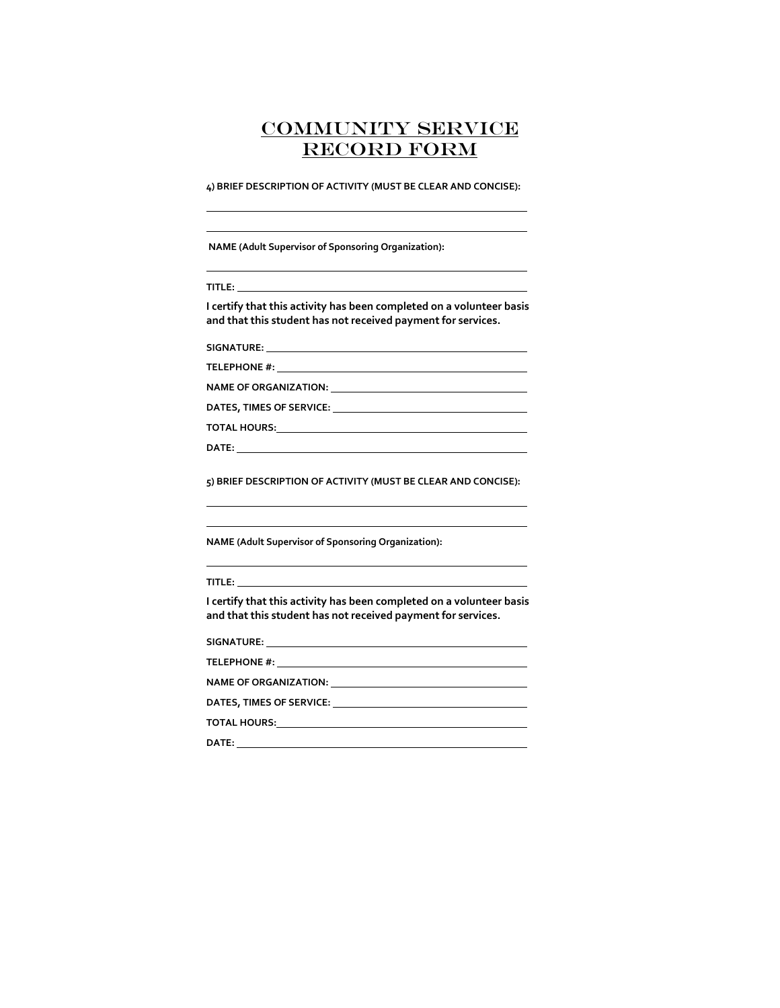**4) BRIEF DESCRIPTION OF ACTIVITY (MUST BE CLEAR AND CONCISE):**

**NAME (Adult Supervisor of Sponsoring Organization):** 

**I certify that this activity has been completed on a volunteer basis and that this student has not received payment for services.**

**SIGNATURE:** 

**TELEPHONE #:** 

**NAME OF ORGANIZATION:** 

**DATES, TIMES OF SERVICE:** 

**TOTAL HOURS:**

**DATE:** 

**5) BRIEF DESCRIPTION OF ACTIVITY (MUST BE CLEAR AND CONCISE):** 

**NAME (Adult Supervisor of Sponsoring Organization):** 

**TITLE:** 

**I certify that this activity has been completed on a volunteer basis and that this student has not received payment for services.**

**SIGNATURE:** 

**TELEPHONE #:** 

**NAME OF ORGANIZATION:** 

**DATES, TIMES OF SERVICE:** 

**TOTAL HOURS:**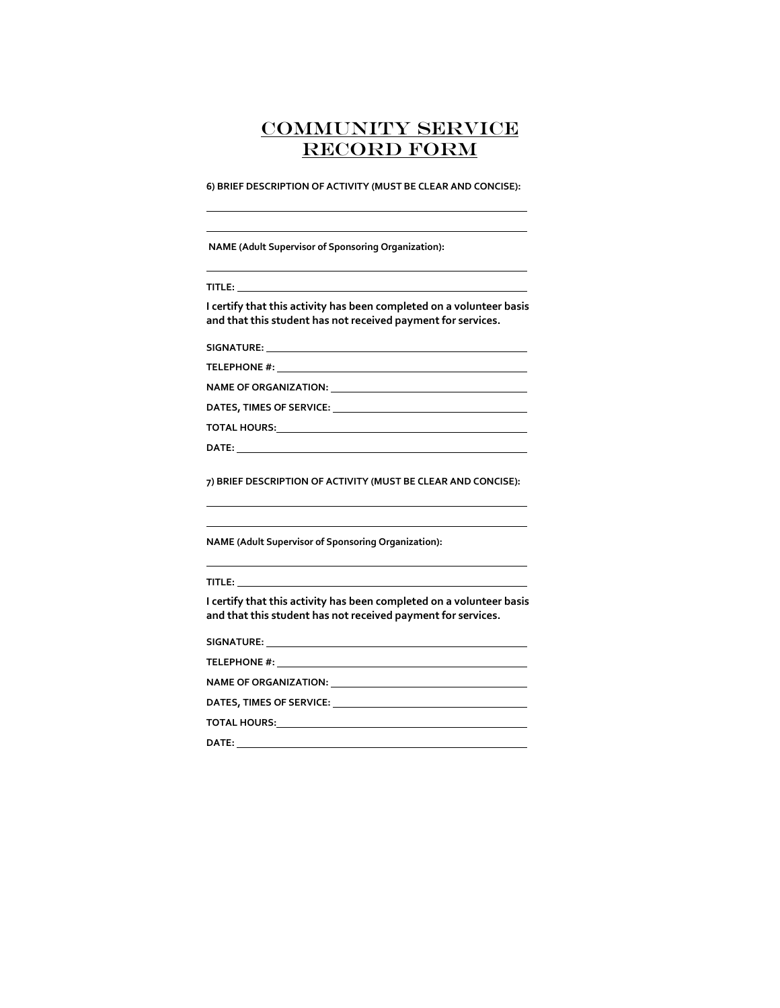**6) BRIEF DESCRIPTION OF ACTIVITY (MUST BE CLEAR AND CONCISE):**

**NAME (Adult Supervisor of Sponsoring Organization):** 

**I certify that this activity has been completed on a volunteer basis and that this student has not received payment for services.**

**SIGNATURE:** 

**TELEPHONE #:** 

**NAME OF ORGANIZATION:** 

**DATES, TIMES OF SERVICE:** 

**TOTAL HOURS:**

**DATE:** 

**7) BRIEF DESCRIPTION OF ACTIVITY (MUST BE CLEAR AND CONCISE):** 

**NAME (Adult Supervisor of Sponsoring Organization):** 

**TITLE:** 

**I certify that this activity has been completed on a volunteer basis and that this student has not received payment for services.**

**SIGNATURE:** 

**TELEPHONE #:** 

**NAME OF ORGANIZATION:** 

**DATES, TIMES OF SERVICE:** 

**TOTAL HOURS:**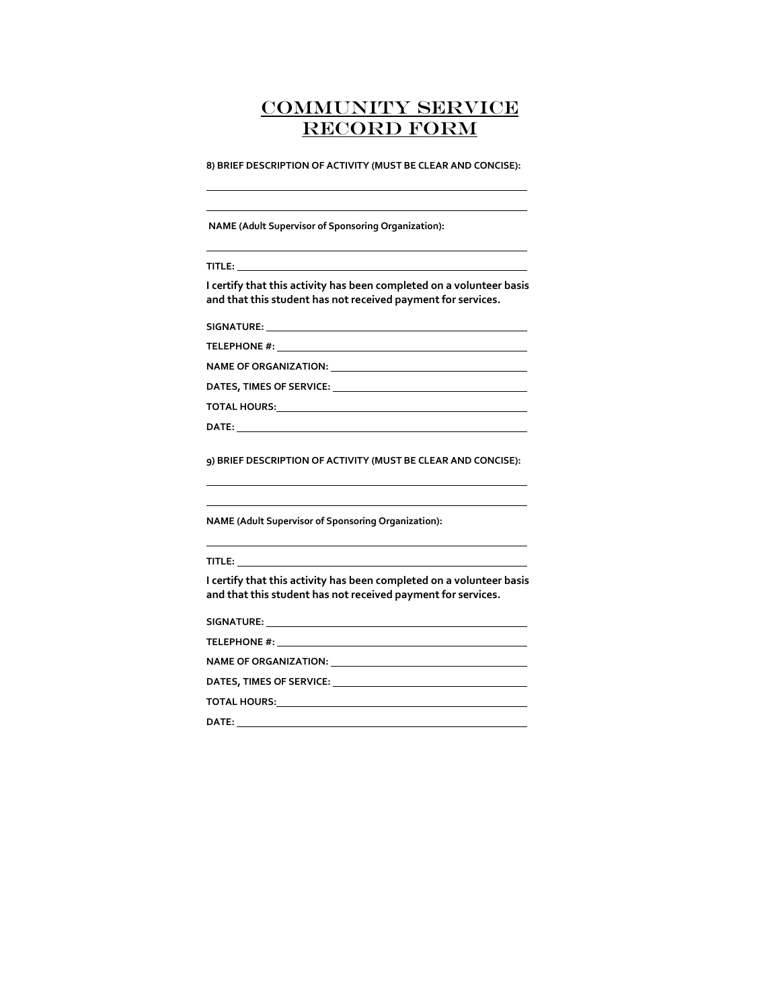**8) BRIEF DESCRIPTION OF ACTIVITY (MUST BE CLEAR AND CONCISE):**

**NAME (Adult Supervisor of Sponsoring Organization):** 

**TITLE:** 

**I certify that this activity has been completed on a volunteer basis and that this student has not received payment for services.**

**SIGNATURE:** 

**TELEPHONE #:** 

**NAME OF ORGANIZATION:** 

**DATES, TIMES OF SERVICE:** 

**TOTAL HOURS:**

**DATE:** 

**9) BRIEF DESCRIPTION OF ACTIVITY (MUST BE CLEAR AND CONCISE):** 

**NAME (Adult Supervisor of Sponsoring Organization):** 

**TITLE:** 

**I certify that this activity has been completed on a volunteer basis and that this student has not received payment for services.**

| SIGNATURE:               |  |
|--------------------------|--|
| <b>TELEPHONE #:</b>      |  |
| NAME OF ORGANIZATION:    |  |
| DATES, TIMES OF SERVICE: |  |

**TOTAL HOURS:**